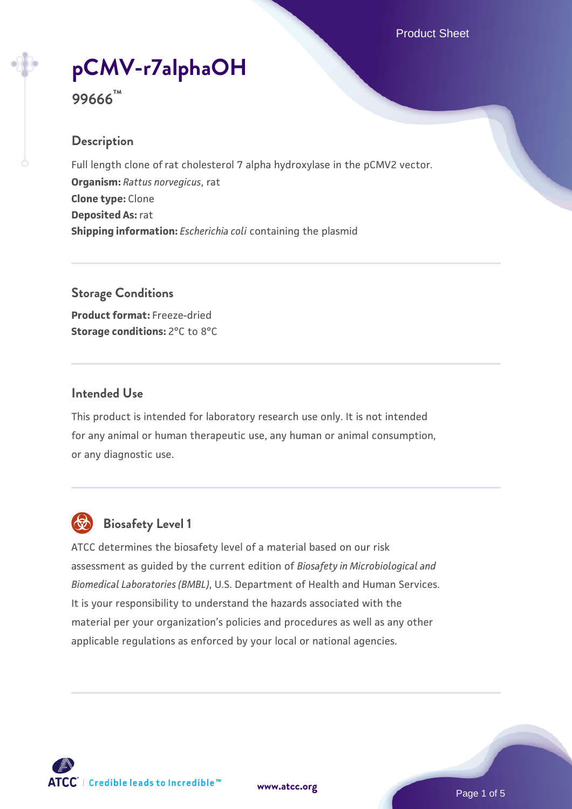# **[pCMV-r7alphaOH](https://www.atcc.org/products/99666)**

# **99666™**

#### **Description**

Full length clone of rat cholesterol 7 alpha hydroxylase in the pCMV2 vector. **Organism:** *Rattus norvegicus*, rat **Clone type:** Clone **Deposited As:** rat **Shipping information:** *Escherichia coli* containing the plasmid

**Storage Conditions Product format:** Freeze-dried **Storage conditions:** 2°C to 8°C

#### **Intended Use**

This product is intended for laboratory research use only. It is not intended for any animal or human therapeutic use, any human or animal consumption, or any diagnostic use.



# **Biosafety Level 1**

ATCC determines the biosafety level of a material based on our risk assessment as guided by the current edition of *Biosafety in Microbiological and Biomedical Laboratories (BMBL)*, U.S. Department of Health and Human Services. It is your responsibility to understand the hazards associated with the material per your organization's policies and procedures as well as any other applicable regulations as enforced by your local or national agencies.



**[www.atcc.org](http://www.atcc.org)**

Page 1 of 5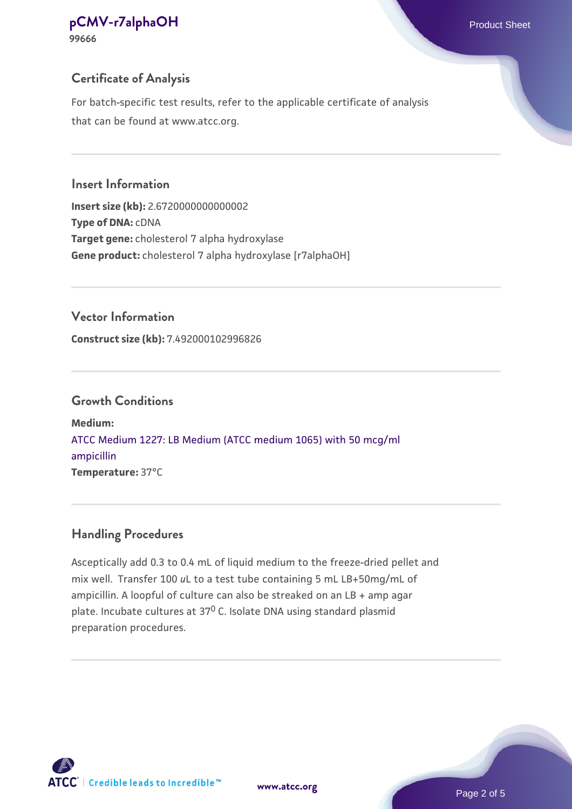**99666**

### **Certificate of Analysis**

For batch-specific test results, refer to the applicable certificate of analysis that can be found at www.atcc.org.

#### **Insert Information**

**Insert size (kb):** 2.6720000000000002 **Type of DNA:** cDNA **Target gene:** cholesterol 7 alpha hydroxylase **Gene product:** cholesterol 7 alpha hydroxylase [r7alphaOH]

#### **Vector Information**

**Construct size (kb):** 7.492000102996826

#### **Growth Conditions**

**Medium:**  [ATCC Medium 1227: LB Medium \(ATCC medium 1065\) with 50 mcg/ml](https://www.atcc.org/-/media/product-assets/documents/microbial-media-formulations/1/2/2/7/atcc-medium-1227.pdf?rev=581c98603b3e4b29a6d62ee0ba9ca578) [ampicillin](https://www.atcc.org/-/media/product-assets/documents/microbial-media-formulations/1/2/2/7/atcc-medium-1227.pdf?rev=581c98603b3e4b29a6d62ee0ba9ca578) **Temperature:** 37°C

### **Handling Procedures**

Asceptically add 0.3 to 0.4 mL of liquid medium to the freeze-dried pellet and mix well. Transfer 100 *u*L to a test tube containing 5 mL LB+50mg/mL of ampicillin. A loopful of culture can also be streaked on an LB + amp agar plate. Incubate cultures at 370 C. Isolate DNA using standard plasmid preparation procedures.

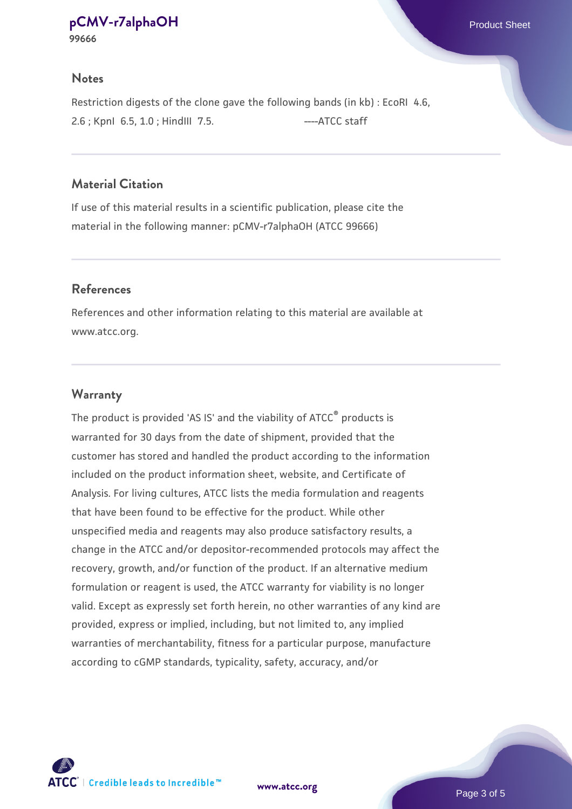#### **Notes**

Restriction digests of the clone gave the following bands (in kb) : EcoRI 4.6, 2.6; KpnI 6.5, 1.0; HindIII 7.5. ---- ATCC staff

#### **Material Citation**

If use of this material results in a scientific publication, please cite the material in the following manner: pCMV-r7alphaOH (ATCC 99666)

#### **References**

References and other information relating to this material are available at www.atcc.org.

#### **Warranty**

The product is provided 'AS IS' and the viability of ATCC® products is warranted for 30 days from the date of shipment, provided that the customer has stored and handled the product according to the information included on the product information sheet, website, and Certificate of Analysis. For living cultures, ATCC lists the media formulation and reagents that have been found to be effective for the product. While other unspecified media and reagents may also produce satisfactory results, a change in the ATCC and/or depositor-recommended protocols may affect the recovery, growth, and/or function of the product. If an alternative medium formulation or reagent is used, the ATCC warranty for viability is no longer valid. Except as expressly set forth herein, no other warranties of any kind are provided, express or implied, including, but not limited to, any implied warranties of merchantability, fitness for a particular purpose, manufacture according to cGMP standards, typicality, safety, accuracy, and/or



**[www.atcc.org](http://www.atcc.org)**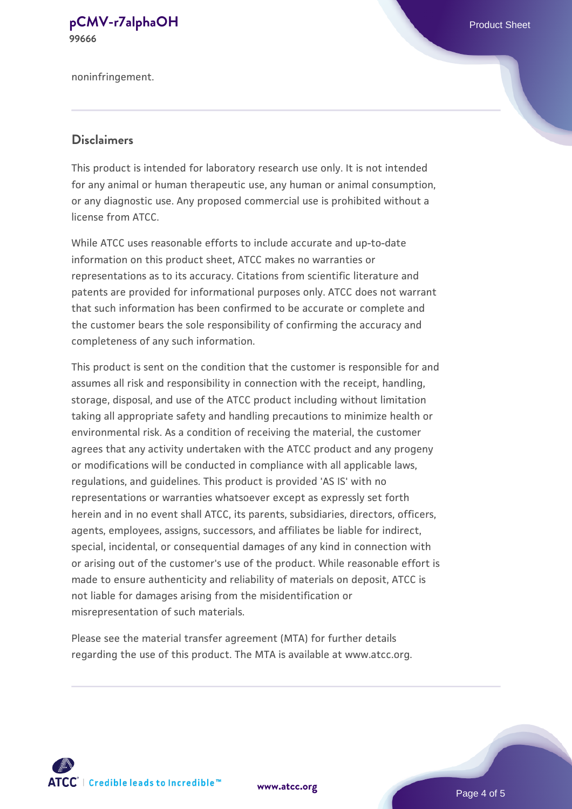noninfringement.

#### **Disclaimers**

This product is intended for laboratory research use only. It is not intended for any animal or human therapeutic use, any human or animal consumption, or any diagnostic use. Any proposed commercial use is prohibited without a license from ATCC.

While ATCC uses reasonable efforts to include accurate and up-to-date information on this product sheet, ATCC makes no warranties or representations as to its accuracy. Citations from scientific literature and patents are provided for informational purposes only. ATCC does not warrant that such information has been confirmed to be accurate or complete and the customer bears the sole responsibility of confirming the accuracy and completeness of any such information.

This product is sent on the condition that the customer is responsible for and assumes all risk and responsibility in connection with the receipt, handling, storage, disposal, and use of the ATCC product including without limitation taking all appropriate safety and handling precautions to minimize health or environmental risk. As a condition of receiving the material, the customer agrees that any activity undertaken with the ATCC product and any progeny or modifications will be conducted in compliance with all applicable laws, regulations, and guidelines. This product is provided 'AS IS' with no representations or warranties whatsoever except as expressly set forth herein and in no event shall ATCC, its parents, subsidiaries, directors, officers, agents, employees, assigns, successors, and affiliates be liable for indirect, special, incidental, or consequential damages of any kind in connection with or arising out of the customer's use of the product. While reasonable effort is made to ensure authenticity and reliability of materials on deposit, ATCC is not liable for damages arising from the misidentification or misrepresentation of such materials.

Please see the material transfer agreement (MTA) for further details regarding the use of this product. The MTA is available at www.atcc.org.



**[www.atcc.org](http://www.atcc.org)**

Page 4 of 5